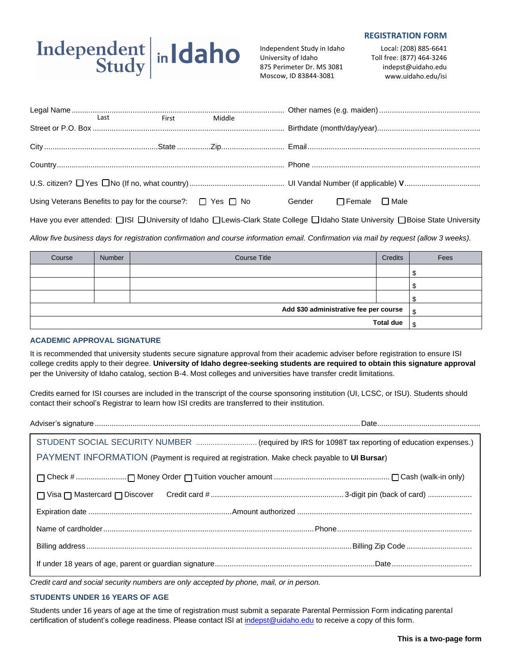# Independent in Idaho

Independent Study in Idaho University of Idaho 875 Perimeter Dr. MS 3081 Moscow, ID 83844-3081

### **REGISTRATION FORM**

Local: (208) 885-6641 Toll free: (877) 464-3246 indepst@uidaho.edu www.uidaho.edu/isi

|                                                                      | Last First Middle |  |  |                                  |  |  |
|----------------------------------------------------------------------|-------------------|--|--|----------------------------------|--|--|
|                                                                      |                   |  |  |                                  |  |  |
|                                                                      |                   |  |  |                                  |  |  |
|                                                                      |                   |  |  |                                  |  |  |
|                                                                      |                   |  |  |                                  |  |  |
| Using Veterans Benefits to pay for the course?: $\Box$ Yes $\Box$ No |                   |  |  | Gender $\Box$ Female $\Box$ Male |  |  |
|                                                                      |                   |  |  |                                  |  |  |

Have you ever attended: [ISI University of Idaho ILewis-Clark State College Ildaho State University IBoise State University

*Allow five business days for registration confirmation and course information email. Confirmation via mail by request (allow 3 weeks).*

| Course           | Number | <b>Course Title</b> | <b>Credits</b> | Fees |
|------------------|--------|---------------------|----------------|------|
|                  |        |                     |                |      |
|                  |        |                     |                |      |
|                  |        |                     |                | ◠    |
|                  | ¢      |                     |                |      |
| <b>Total due</b> |        |                     |                | ¢    |

# **ACADEMIC APPROVAL SIGNATURE**

It is recommended that university students secure signature approval from their academic adviser before registration to ensure ISI college credits apply to their degree. **University of Idaho degree-seeking students are required to obtain this signature approval** per the University of Idaho catalog, section B-4. Most colleges and universities have transfer credit limitations.

Credits earned for ISI courses are included in the transcript of the course sponsoring institution (UI, LCSC, or ISU). Students should contact their school's Registrar to learn how ISI credits are transferred to their institution.

Adviser's signature ..............................................................................................................................Date.................................................

| PAYMENT INFORMATION (Payment is required at registration. Make check payable to UI Bursar) |  |  |  |  |
|--------------------------------------------------------------------------------------------|--|--|--|--|
|                                                                                            |  |  |  |  |
|                                                                                            |  |  |  |  |
|                                                                                            |  |  |  |  |
|                                                                                            |  |  |  |  |
|                                                                                            |  |  |  |  |
|                                                                                            |  |  |  |  |

*Credit card and social security numbers are only accepted by phone, mail, or in person.*

# **STUDENTS UNDER 16 YEARS OF AGE**

Students under 16 years of age at the time of registration must submit a separate Parental Permission Form indicating parental certification of student's college readiness. Please contact ISI a[t indepst@uidaho.edu](mailto:indepst@uidaho.edu) to receive a copy of this form.